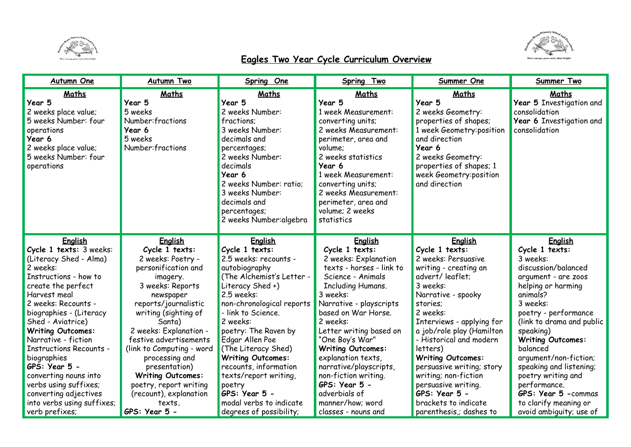



## **Eagles Two Year Cycle Curriculum Overview**

| <b>Autumn One</b>                                                                                                                                     | <b>Autumn Two</b>                                                                         | Spring One                                                                                                                                                                                                                                           | Spring Two                                                                                                                                                                                                                                                                        | Summer One                                                                                                                                                                                                        | Summer Two                                                                                      |
|-------------------------------------------------------------------------------------------------------------------------------------------------------|-------------------------------------------------------------------------------------------|------------------------------------------------------------------------------------------------------------------------------------------------------------------------------------------------------------------------------------------------------|-----------------------------------------------------------------------------------------------------------------------------------------------------------------------------------------------------------------------------------------------------------------------------------|-------------------------------------------------------------------------------------------------------------------------------------------------------------------------------------------------------------------|-------------------------------------------------------------------------------------------------|
| Maths<br>Year 5<br>2 weeks place value;<br>5 weeks Number: four<br>operations<br>Year 6<br>2 weeks place value;<br>5 weeks Number: four<br>operations | Maths<br>Year 5<br>5 weeks<br>Number: fractions<br>Year 6<br>5 weeks<br>Number: fractions | Maths<br>Year 5<br>2 weeks Number:<br>fractions:<br>3 weeks Number:<br>decimals and<br>percentages;<br>2 weeks Number:<br>decimals<br>Year 6<br>2 weeks Number: ratio;<br>3 weeks Number:<br>decimals and<br>percentages;<br>2 weeks Number: algebra | Maths<br>Year 5<br>1 week Measurement:<br>converting units;<br>2 weeks Measurement:<br>perimeter, area and<br>volume:<br>2 weeks statistics<br>Year 6<br>1 week Measurement:<br>converting units;<br>2 weeks Measurement:<br>perimeter, area and<br>volume; 2 weeks<br>statistics | Maths<br>Year 5<br>2 weeks Geometry:<br>properties of shapes;<br>1 week Geometry: position<br>and direction<br>Year 6<br>2 weeks Geometry:<br>properties of shapes; 1<br>week Geometry: position<br>and direction | Maths<br>Year 5 Investigation and<br>consolidation<br>Year 6 Investigation and<br>consolidation |
| English                                                                                                                                               | <b>English</b>                                                                            | English                                                                                                                                                                                                                                              | <b>English</b>                                                                                                                                                                                                                                                                    | <b>English</b>                                                                                                                                                                                                    | English                                                                                         |
| Cycle 1 texts: 3 weeks:                                                                                                                               | Cycle 1 texts:                                                                            | Cycle 1 texts:                                                                                                                                                                                                                                       | Cycle 1 texts:                                                                                                                                                                                                                                                                    | Cycle 1 texts:                                                                                                                                                                                                    | Cycle 1 texts:                                                                                  |
| (Literacy Shed - Alma)                                                                                                                                | 2 weeks: Poetry -                                                                         | 2.5 weeks: recounts -                                                                                                                                                                                                                                | 2 weeks: Explanation                                                                                                                                                                                                                                                              | 2 weeks: Persuasive                                                                                                                                                                                               | 3 weeks:                                                                                        |
| 2 weeks:                                                                                                                                              | personification and                                                                       | autobiography                                                                                                                                                                                                                                        | texts - horses - link to                                                                                                                                                                                                                                                          | writing - creating an                                                                                                                                                                                             | discussion/balanced                                                                             |
| Instructions - how to                                                                                                                                 | imagery.                                                                                  | (The Alchemist's Letter -                                                                                                                                                                                                                            | Science - Animals                                                                                                                                                                                                                                                                 | advert/leaflet;                                                                                                                                                                                                   | argument - are zoos                                                                             |
| create the perfect                                                                                                                                    | 3 weeks: Reports                                                                          | Literacy Shed +)                                                                                                                                                                                                                                     | <b>Including Humans.</b>                                                                                                                                                                                                                                                          | 3 weeks:                                                                                                                                                                                                          | helping or harming                                                                              |
| Harvest meal                                                                                                                                          | newspaper                                                                                 | 2.5 weeks:                                                                                                                                                                                                                                           | 3 weeks:                                                                                                                                                                                                                                                                          | Narrative - spooky                                                                                                                                                                                                | animals?                                                                                        |
| 2 weeks: Recounts -                                                                                                                                   | reports/journalistic                                                                      | non-chronological reports                                                                                                                                                                                                                            | Narrative - playscripts                                                                                                                                                                                                                                                           | stories:                                                                                                                                                                                                          | 3 weeks:                                                                                        |
| biographies - (Literacy                                                                                                                               | writing (sighting of                                                                      | - link to Science.                                                                                                                                                                                                                                   | based on War Horse.                                                                                                                                                                                                                                                               | 2 weeks:                                                                                                                                                                                                          | poetry - performance                                                                            |
| Shed - Aviatrice)                                                                                                                                     | Santa)                                                                                    | 2 weeks:                                                                                                                                                                                                                                             | 2 weeks:                                                                                                                                                                                                                                                                          | Interviews - applying for                                                                                                                                                                                         | (link to drama and public                                                                       |
| <b>Writing Outcomes:</b>                                                                                                                              | 2 weeks: Explanation -                                                                    | poetry: The Raven by                                                                                                                                                                                                                                 | Letter writing based on                                                                                                                                                                                                                                                           | a job/role play (Hamilton                                                                                                                                                                                         | speaking)                                                                                       |
| Narrative - fiction                                                                                                                                   | festive advertisements                                                                    | Edgar Allen Poe                                                                                                                                                                                                                                      | "One Boy's War"                                                                                                                                                                                                                                                                   | - Historical and modern                                                                                                                                                                                           | <b>Writing Outcomes:</b>                                                                        |
| <b>Instructions Recounts -</b>                                                                                                                        | (link to Computing - word                                                                 | (The Literacy Shed)                                                                                                                                                                                                                                  | <b>Writing Outcomes:</b>                                                                                                                                                                                                                                                          | letters)                                                                                                                                                                                                          | balanced                                                                                        |
| biographies                                                                                                                                           | processing and                                                                            | <b>Writing Outcomes:</b>                                                                                                                                                                                                                             | explanation texts,                                                                                                                                                                                                                                                                | <b>Writing Outcomes:</b>                                                                                                                                                                                          | argument/non-fiction;                                                                           |
| GPS: Year 5 -                                                                                                                                         | presentation)                                                                             | recounts, information                                                                                                                                                                                                                                | narrative/playscripts,                                                                                                                                                                                                                                                            | persuasive writing; story                                                                                                                                                                                         | speaking and listening;                                                                         |
| converting nouns into                                                                                                                                 | <b>Writing Outcomes:</b>                                                                  | texts/report writing,                                                                                                                                                                                                                                | non-fiction writing.                                                                                                                                                                                                                                                              | writing; non-fiction                                                                                                                                                                                              | poetry writing and                                                                              |
| verbs using suffixes;                                                                                                                                 | poetry, report writing                                                                    | poetry                                                                                                                                                                                                                                               | GPS: Year 5 -                                                                                                                                                                                                                                                                     | persuasive writing.                                                                                                                                                                                               | performance.                                                                                    |
| converting adjectives                                                                                                                                 | (recount), explanation                                                                    | GPS: Year 5 -                                                                                                                                                                                                                                        | adverbials of                                                                                                                                                                                                                                                                     | GPS: Year 5 -                                                                                                                                                                                                     | <b>GPS: Year 5 -commas</b>                                                                      |
| into verbs using suffixes;                                                                                                                            | texts.                                                                                    | modal verbs to indicate                                                                                                                                                                                                                              | manner/how; word                                                                                                                                                                                                                                                                  | brackets to indicate                                                                                                                                                                                              | to clarify meaning or                                                                           |
| verb prefixes;                                                                                                                                        | GPS: Year 5 -                                                                             | degrees of possibility;                                                                                                                                                                                                                              | classes - nouns and                                                                                                                                                                                                                                                               | parenthesis; dashes to                                                                                                                                                                                            | avoid ambiguity; use of                                                                         |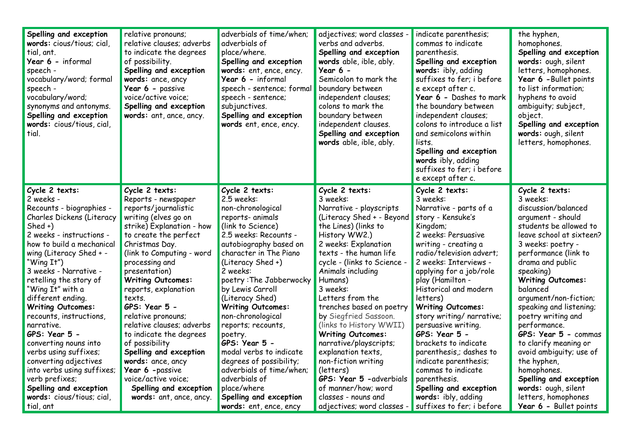| Spelling and exception<br>words: cious/tious; cial,<br>tial, ant.<br>Year 6 - informal<br>speech -<br>vocabulary/word; formal<br>speech -<br>vocabulary/word;<br>synonyms and antonyms.<br>Spelling and exception<br>words: cious/tious, cial,<br>tial. | relative pronouns;<br>relative clauses; adverbs<br>to indicate the degrees<br>of possibility.<br>Spelling and exception<br>words: ance, ancy<br>Year 6 - passive<br>voice/active voice;<br>Spelling and exception<br>words: ant, ance, ancy. | adverbials of time/when;<br>adverbials of<br>place/where.<br>Spelling and exception<br>words: ent, ence, ency.<br>Year 6 - informal<br>speech - sentence; formal<br>speech - sentence;<br>subjunctives.<br>Spelling and exception<br>words ent, ence, ency. | adjectives; word classes -<br>verbs and adverbs.<br>Spelling and exception<br>words able, ible, ably.<br>Year $6 -$<br>Semicolon to mark the<br>boundary between<br>independent clauses;<br>colons to mark the<br>boundary between<br>independent clauses.<br>Spelling and exception<br>words able, ible, ably. | indicate parenthesis;<br>commas to indicate<br>parenthesis.<br>Spelling and exception<br>words: ibly, adding<br>suffixes to fer; i before<br>e except after c.<br>Year 6 - Dashes to mark<br>the boundary between<br>independent clauses;<br>colons to introduce a list<br>and semicolons within<br>lists.<br>Spelling and exception<br>words ibly, adding<br>suffixes to fer; i before<br>e except after c. | the hyphen,<br>homophones.<br>Spelling and exception<br>words: ough, silent<br>letters, homophones.<br>Year 6 - Bullet points<br>to list information;<br>hyphens to avoid<br>ambiguity; subject,<br>object.<br>Spelling and exception<br>words: ough, silent<br>letters, homophones. |
|---------------------------------------------------------------------------------------------------------------------------------------------------------------------------------------------------------------------------------------------------------|----------------------------------------------------------------------------------------------------------------------------------------------------------------------------------------------------------------------------------------------|-------------------------------------------------------------------------------------------------------------------------------------------------------------------------------------------------------------------------------------------------------------|-----------------------------------------------------------------------------------------------------------------------------------------------------------------------------------------------------------------------------------------------------------------------------------------------------------------|--------------------------------------------------------------------------------------------------------------------------------------------------------------------------------------------------------------------------------------------------------------------------------------------------------------------------------------------------------------------------------------------------------------|--------------------------------------------------------------------------------------------------------------------------------------------------------------------------------------------------------------------------------------------------------------------------------------|
| Cycle 2 texts:                                                                                                                                                                                                                                          | Cycle 2 texts:                                                                                                                                                                                                                               | Cycle 2 texts:                                                                                                                                                                                                                                              | Cycle 2 texts:                                                                                                                                                                                                                                                                                                  | Cycle 2 texts:                                                                                                                                                                                                                                                                                                                                                                                               | Cycle 2 texts:                                                                                                                                                                                                                                                                       |
| 2 weeks -                                                                                                                                                                                                                                               | Reports - newspaper                                                                                                                                                                                                                          | 2.5 weeks:                                                                                                                                                                                                                                                  | 3 weeks:                                                                                                                                                                                                                                                                                                        | 3 weeks:                                                                                                                                                                                                                                                                                                                                                                                                     | 3 weeks:                                                                                                                                                                                                                                                                             |
| Recounts - biographies -                                                                                                                                                                                                                                | reports/journalistic                                                                                                                                                                                                                         | non-chronological                                                                                                                                                                                                                                           | Narrative - playscripts                                                                                                                                                                                                                                                                                         | Narrative - parts of a                                                                                                                                                                                                                                                                                                                                                                                       | discussion/balanced                                                                                                                                                                                                                                                                  |
| Charles Dickens (Literacy                                                                                                                                                                                                                               | writing (elves go on                                                                                                                                                                                                                         | reports- animals                                                                                                                                                                                                                                            | (Literacy Shed + - Beyond                                                                                                                                                                                                                                                                                       | story - Kensuke's                                                                                                                                                                                                                                                                                                                                                                                            | argument - should                                                                                                                                                                                                                                                                    |
| $Shed +$                                                                                                                                                                                                                                                | strike) Explanation - how                                                                                                                                                                                                                    | (link to Science)                                                                                                                                                                                                                                           | the Lines) (links to                                                                                                                                                                                                                                                                                            | Kingdom;                                                                                                                                                                                                                                                                                                                                                                                                     | students be allowed to                                                                                                                                                                                                                                                               |
| 2 weeks - instructions -                                                                                                                                                                                                                                | to create the perfect                                                                                                                                                                                                                        | 2.5 weeks: Recounts -                                                                                                                                                                                                                                       | History WW2.)                                                                                                                                                                                                                                                                                                   | 2 weeks: Persuasive                                                                                                                                                                                                                                                                                                                                                                                          | leave school at sixteen?                                                                                                                                                                                                                                                             |
| how to build a mechanical                                                                                                                                                                                                                               | Christmas Day.                                                                                                                                                                                                                               | autobiography based on                                                                                                                                                                                                                                      | 2 weeks: Explanation                                                                                                                                                                                                                                                                                            | writing - creating a                                                                                                                                                                                                                                                                                                                                                                                         | 3 weeks: poetry -                                                                                                                                                                                                                                                                    |
| wing (Literacy Shed + -                                                                                                                                                                                                                                 | (link to Computing - word                                                                                                                                                                                                                    | character in The Piano                                                                                                                                                                                                                                      | texts - the human life                                                                                                                                                                                                                                                                                          | radio/television advert;                                                                                                                                                                                                                                                                                                                                                                                     | performance (link to                                                                                                                                                                                                                                                                 |
| "Wing It")                                                                                                                                                                                                                                              | processing and                                                                                                                                                                                                                               | (Literacy Shed +)                                                                                                                                                                                                                                           | cycle - (links to Science -                                                                                                                                                                                                                                                                                     | 2 weeks: Interviews -                                                                                                                                                                                                                                                                                                                                                                                        | drama and public                                                                                                                                                                                                                                                                     |
| 3 weeks - Narrative -                                                                                                                                                                                                                                   | presentation)                                                                                                                                                                                                                                | 2 weeks:                                                                                                                                                                                                                                                    | Animals including                                                                                                                                                                                                                                                                                               | applying for a job/role                                                                                                                                                                                                                                                                                                                                                                                      | speaking)                                                                                                                                                                                                                                                                            |
| retelling the story of                                                                                                                                                                                                                                  | <b>Writing Outcomes:</b>                                                                                                                                                                                                                     | poetry: The Jabberwocky                                                                                                                                                                                                                                     | Humans)                                                                                                                                                                                                                                                                                                         | play (Hamilton -                                                                                                                                                                                                                                                                                                                                                                                             | <b>Writing Outcomes:</b>                                                                                                                                                                                                                                                             |
| "Wing It" with a                                                                                                                                                                                                                                        | reports, explanation                                                                                                                                                                                                                         | by Lewis Carroll                                                                                                                                                                                                                                            | 3 weeks:                                                                                                                                                                                                                                                                                                        | Historical and modern                                                                                                                                                                                                                                                                                                                                                                                        | balanced                                                                                                                                                                                                                                                                             |
| different ending.                                                                                                                                                                                                                                       | texts.                                                                                                                                                                                                                                       | (Literacy Shed)                                                                                                                                                                                                                                             | Letters from the                                                                                                                                                                                                                                                                                                | letters)                                                                                                                                                                                                                                                                                                                                                                                                     | argument/non-fiction;                                                                                                                                                                                                                                                                |
| <b>Writing Outcomes:</b>                                                                                                                                                                                                                                | GPS: Year 5 -                                                                                                                                                                                                                                | <b>Writing Outcomes:</b>                                                                                                                                                                                                                                    | trenches based on poetry                                                                                                                                                                                                                                                                                        | <b>Writing Outcomes:</b>                                                                                                                                                                                                                                                                                                                                                                                     | speaking and listening;                                                                                                                                                                                                                                                              |
| recounts, instructions,                                                                                                                                                                                                                                 | relative pronouns;                                                                                                                                                                                                                           | non-chronological                                                                                                                                                                                                                                           | by Siegfried Sassoon.                                                                                                                                                                                                                                                                                           | story writing/ narrative;                                                                                                                                                                                                                                                                                                                                                                                    | poetry writing and                                                                                                                                                                                                                                                                   |
| narrative.                                                                                                                                                                                                                                              | relative clauses; adverbs                                                                                                                                                                                                                    | reports; recounts,                                                                                                                                                                                                                                          | (links to History WWII)                                                                                                                                                                                                                                                                                         | persuasive writing.                                                                                                                                                                                                                                                                                                                                                                                          | performance.                                                                                                                                                                                                                                                                         |
| GPS: Year 5 -                                                                                                                                                                                                                                           | to indicate the degrees                                                                                                                                                                                                                      | poetry.                                                                                                                                                                                                                                                     | <b>Writing Outcomes:</b>                                                                                                                                                                                                                                                                                        | GPS: Year 5 -                                                                                                                                                                                                                                                                                                                                                                                                | GPS: Year 5 - commas                                                                                                                                                                                                                                                                 |
| converting nouns into                                                                                                                                                                                                                                   | of possibility                                                                                                                                                                                                                               | $GPS: Year 5 -$                                                                                                                                                                                                                                             | narrative/playscripts;                                                                                                                                                                                                                                                                                          | brackets to indicate                                                                                                                                                                                                                                                                                                                                                                                         | to clarify meaning or                                                                                                                                                                                                                                                                |
| verbs using suffixes;                                                                                                                                                                                                                                   | Spelling and exception                                                                                                                                                                                                                       | modal verbs to indicate                                                                                                                                                                                                                                     | explanation texts,                                                                                                                                                                                                                                                                                              | parenthesis; dashes to                                                                                                                                                                                                                                                                                                                                                                                       | avoid ambiguity; use of                                                                                                                                                                                                                                                              |
| converting adjectives                                                                                                                                                                                                                                   | words: ance, ancy                                                                                                                                                                                                                            | degrees of possibility;                                                                                                                                                                                                                                     | non-fiction writing                                                                                                                                                                                                                                                                                             | indicate parenthesis;                                                                                                                                                                                                                                                                                                                                                                                        | the hyphen,                                                                                                                                                                                                                                                                          |
| into verbs using suffixes;                                                                                                                                                                                                                              | Year 6 -passive                                                                                                                                                                                                                              | adverbials of time/when;                                                                                                                                                                                                                                    | (letters)                                                                                                                                                                                                                                                                                                       | commas to indicate                                                                                                                                                                                                                                                                                                                                                                                           | homophones.                                                                                                                                                                                                                                                                          |
| verb prefixes;                                                                                                                                                                                                                                          | voice/active voice;                                                                                                                                                                                                                          | adverbials of                                                                                                                                                                                                                                               | GPS: Year 5 - adverbials                                                                                                                                                                                                                                                                                        | parenthesis.                                                                                                                                                                                                                                                                                                                                                                                                 | Spelling and exception                                                                                                                                                                                                                                                               |
| Spelling and exception                                                                                                                                                                                                                                  | Spelling and exception                                                                                                                                                                                                                       | place/where                                                                                                                                                                                                                                                 | of manner/how; word                                                                                                                                                                                                                                                                                             | Spelling and exception                                                                                                                                                                                                                                                                                                                                                                                       | words: ough, silent                                                                                                                                                                                                                                                                  |
| words: cious/tious; cial,                                                                                                                                                                                                                               | words: ant, ance, ancy.                                                                                                                                                                                                                      | Spelling and exception                                                                                                                                                                                                                                      | classes - nouns and                                                                                                                                                                                                                                                                                             | words: ibly, adding                                                                                                                                                                                                                                                                                                                                                                                          | letters, homophones                                                                                                                                                                                                                                                                  |
| tial, ant                                                                                                                                                                                                                                               |                                                                                                                                                                                                                                              | words: ent, ence, ency                                                                                                                                                                                                                                      | adjectives; word classes -                                                                                                                                                                                                                                                                                      | suffixes to fer; i before                                                                                                                                                                                                                                                                                                                                                                                    | Year 6 - Bullet points                                                                                                                                                                                                                                                               |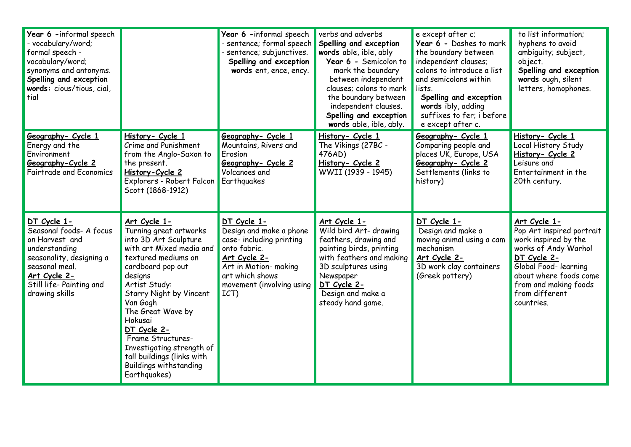| Year 6 -informal speech<br>- vocabulary/word;<br>formal speech -<br>vocabulary/word;<br>synonyms and antonyms.<br>Spelling and exception<br>words: cious/tious, cial,<br>tial                |                                                                                                                                                                                                                                                                                                                                                                                     | Year 6 -informal speech<br>- sentence; formal speech<br>sentence; subjunctives.<br>Spelling and exception<br>words ent, ence, ency.                                                 | verbs and adverbs<br>Spelling and exception<br>words able, ible, ably<br>Year 6 - Semicolon to<br>mark the boundary<br>between independent<br>clauses; colons to mark<br>the boundary between<br>independent clauses.<br>Spelling and exception<br>words able, ible, ably. | e except after c;<br>Year 6 - Dashes to mark<br>the boundary between<br>independent clauses;<br>colons to introduce a list<br>and semicolons within<br>lists.<br>Spelling and exception<br>words ibly, adding<br>suffixes to fer; i before<br>e except after c. | to list information;<br>hyphens to avoid<br>ambiguity; subject,<br>object.<br>Spelling and exception<br>words ough, silent<br>letters, homophones.                                                                   |
|----------------------------------------------------------------------------------------------------------------------------------------------------------------------------------------------|-------------------------------------------------------------------------------------------------------------------------------------------------------------------------------------------------------------------------------------------------------------------------------------------------------------------------------------------------------------------------------------|-------------------------------------------------------------------------------------------------------------------------------------------------------------------------------------|----------------------------------------------------------------------------------------------------------------------------------------------------------------------------------------------------------------------------------------------------------------------------|-----------------------------------------------------------------------------------------------------------------------------------------------------------------------------------------------------------------------------------------------------------------|----------------------------------------------------------------------------------------------------------------------------------------------------------------------------------------------------------------------|
| Geography- Cycle 1<br>Energy and the<br>Environment<br>Geography-Cycle 2<br><b>Fairtrade and Economics</b>                                                                                   | History- Cycle 1<br>Crime and Punishment<br>from the Anglo-Saxon to<br>the present.<br>History-Cycle 2<br>Explorers - Robert Falcon<br>Scott (1868-1912)                                                                                                                                                                                                                            | Geography- Cycle 1<br>Mountains, Rivers and<br>Erosion<br>Geography- Cycle 2<br>Volcanoes and<br>Earthquakes                                                                        | History- Cycle 1<br>The Vikings (27BC -<br>476AD)<br>History- Cycle 2<br>WWII (1939 - 1945)                                                                                                                                                                                | Geography- Cycle 1<br>Comparing people and<br>places UK, Europe, USA<br>Geography- Cycle 2<br>Settlements (links to<br>history)                                                                                                                                 | History- Cycle 1<br>Local History Study<br>History- Cycle 2<br>Leisure and<br>Entertainment in the<br>20th century.                                                                                                  |
| DT Cycle 1-<br>Seasonal foods- A focus<br>on Harvest and<br>understanding<br>seasonality, designing a<br>seasonal meal.<br><u>Art Cycle 2-</u><br>Still life- Painting and<br>drawing skills | Art Cycle 1-<br>Turning great artworks<br>into 3D Art Sculpture<br>with art Mixed media and<br>textured mediums on<br>cardboard pop out<br>designs<br>Artist Study:<br>Starry Night by Vincent<br>Van Gogh<br>The Great Wave by<br>Hokusai<br>DT Cycle 2-<br>Frame Structures-<br>Investigating strength of<br>tall buildings (links with<br>Buildings withstanding<br>Earthquakes) | DT Cycle 1-<br>Design and make a phone<br>case- including printing<br>onto fabric.<br>Art Cycle 2-<br>Art in Motion- making<br>art which shows<br>movement (involving using<br>ICT) | Art Cycle 1-<br>Wild bird Art- drawing<br>feathers, drawing and<br>painting birds, printing<br>with feathers and making<br>3D sculptures using<br>Newspaper<br>DT Cycle 2-<br>Design and make a<br>steady hand game.                                                       | DT Cycle 1-<br>Design and make a<br>moving animal using a cam<br>mechanism<br>Art Cycle 2-<br>3D work clay containers<br>(Greek pottery)                                                                                                                        | Art Cycle 1-<br>Pop Art inspired portrait<br>work inspired by the<br>works of Andy Warhol<br>DT Cycle 2-<br>Global Food- learning<br>about where foods come<br>from and making foods<br>from different<br>countries. |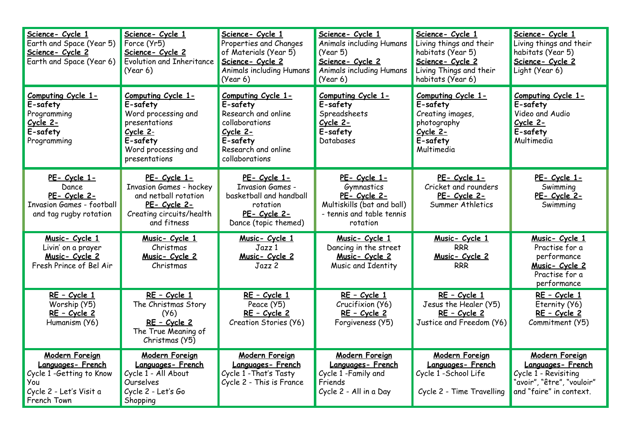| Science- Cycle 1<br>Earth and Space (Year 5)<br>Science- Cycle 2<br>Earth and Space (Year 6)                           | Science- Cycle 1<br>Force (Yr5)<br>Science- Cycle 2<br><b>Evolution and Inheritance</b><br>(Year 6)                                    | Science- Cycle 1<br>Properties and Changes<br>of Materials (Year 5)<br>Science- Cycle 2<br><b>Animals including Humans</b><br>(Year 6)   | Science- Cycle 1<br>Animals including Humans<br>(Year 5)<br>Science- Cycle 2<br>Animals including Humans<br>(Year 6) | Science- Cycle 1<br>Living things and their<br>habitats (Year 5)<br>Science- Cycle 2<br>Living Things and their<br>habitats (Year 6) | Science- Cycle 1<br>Living things and their<br>habitats (Year 5)<br>Science- Cycle 2<br>Light (Year 6)                     |
|------------------------------------------------------------------------------------------------------------------------|----------------------------------------------------------------------------------------------------------------------------------------|------------------------------------------------------------------------------------------------------------------------------------------|----------------------------------------------------------------------------------------------------------------------|--------------------------------------------------------------------------------------------------------------------------------------|----------------------------------------------------------------------------------------------------------------------------|
| Computing Cycle 1-<br>E-safety<br>Programming<br>Cycle 2-<br>E-safety<br>Programming                                   | Computing Cycle 1-<br>E-safety<br>Word processing and<br>presentations<br>Cycle 2-<br>E-safety<br>Word processing and<br>presentations | Computing Cycle 1-<br>E-safety<br>Research and online<br>collaborations<br>Cycle 2-<br>E-safety<br>Research and online<br>collaborations | Computing Cycle 1-<br>E-safety<br>Spreadsheets<br>Cycle 2-<br>E-safety<br>Databases                                  | Computing Cycle 1-<br>E-safety<br>Creating images,<br>photography<br>Cycle 2-<br>E-safety<br>Multimedia                              | Computing Cycle 1-<br>E-safety<br>Video and Audio<br>Cycle 2-<br>E-safety<br>Multimedia                                    |
| PE- Cycle 1-<br>Dance<br>PE- Cycle 2-<br><b>Invasion Games - football</b><br>and tag rugby rotation                    | PE- Cycle 1-<br>Invasion Games - hockey<br>and netball rotation<br>PE- Cycle 2-<br>Creating circuits/health<br>and fitness             | PE- Cycle 1-<br><b>Invasion Games -</b><br>basketball and handball<br>rotation<br>PE- Cycle 2-<br>Dance (topic themed)                   | PE- Cycle 1-<br>Gymnastics<br>PE- Cycle 2-<br>Multiskills (bat and ball)<br>- tennis and table tennis<br>rotation    | PE- Cycle 1-<br>Cricket and rounders<br>PE- Cycle 2-<br>Summer Athletics                                                             | PE- Cycle 1-<br>Swimming<br>PE- Cycle 2-<br>Swimming                                                                       |
| Music- Cycle 1<br>Livin' on a prayer<br>Music- Cycle 2<br>Fresh Prince of Bel Air                                      | Music- Cycle 1<br>Christmas<br>Music- Cycle 2<br>Christmas                                                                             | Music- Cycle 1<br>Jazz 1<br>Music- Cycle 2<br>$J$ azz $2$                                                                                | Music- Cycle 1<br>Dancing in the street<br>Music- Cycle 2<br>Music and Identity                                      | <u>Music-Cycle 1</u><br><b>RRR</b><br>Music- Cycle 2<br><b>RRR</b>                                                                   | Music- Cycle 1<br>Practise for a<br>performance<br>Music- Cycle 2<br>Practise for a<br>performance                         |
| RE - Cycle 1<br>Worship (Y5)<br>RE - Cycle 2<br>Humanism (Y6)                                                          | RE - Cycle 1<br>The Christmas Story<br>(Y6)<br>RE - Cycle 2<br>The True Meaning of<br>Christmas (Y5)                                   | RE - Cycle 1<br>Peace (Y5)<br>RE - Cycle 2<br>Creation Stories (Y6)                                                                      | RE - Cycle 1<br>Crucifixion (Y6)<br><u>RE - Cycle 2</u><br>Forgiveness (Y5)                                          | RE - Cycle 1<br>Jesus the Healer (Y5)<br>RE - Cycle 2<br>Justice and Freedom (Y6)                                                    | RE - Cycle 1<br>Eternity (Y6)<br>RE - Cycle 2<br>Commitment (Y5)                                                           |
| <b>Modern Foreign</b><br>Languages-French<br>Cycle 1 -Getting to Know<br>You<br>Cycle 2 - Let's Visit a<br>French Town | <b>Modern Foreign</b><br>Languages-French<br>Cycle 1 - All About<br>Ourselves<br>Cycle 2 - Let's Go<br>Shopping                        | <b>Modern Foreign</b><br>Languages-French<br>Cycle 1 - That's Tasty<br>Cycle 2 - This is France                                          | <b>Modern Foreign</b><br>Languages-French<br>Cycle 1 - Family and<br>Friends<br>Cycle 2 - All in a Day               | <b>Modern Foreign</b><br>Languages-French<br>Cycle 1 - School Life<br>Cycle 2 - Time Travelling                                      | <b>Modern Foreign</b><br>Languages-French<br>Cycle 1 - Revisiting<br>"avoir", "être", "vouloir"<br>and "faire" in context. |